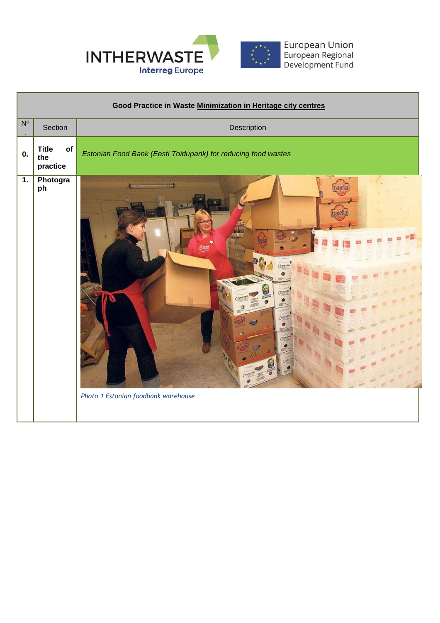

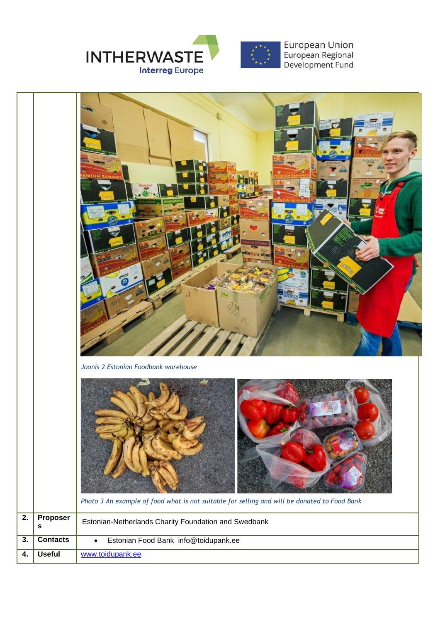



*Photo 3 An example of food what is not suitable for selling and will be donated to Food Bank* **2. Proposer s** Estonian-Netherlands Charity Foundation and Swedbank **3. Contacts** Estonian Food Bank info@toidupank.ee **4. Useful** [www.toidupank.ee](http://www.toidupank.ee/)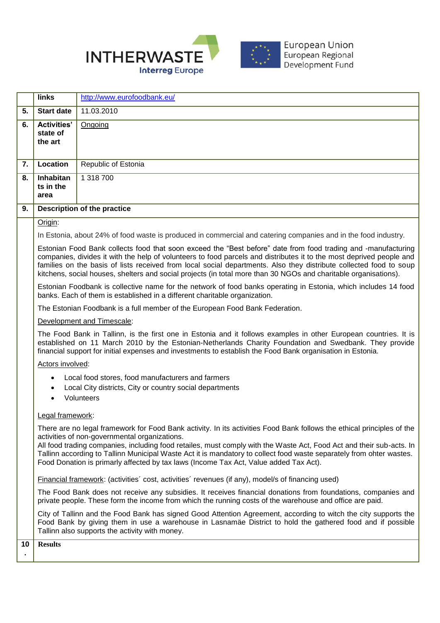

|                                                                                                                                                 | <b>links</b>                                                                                                                                                                                                                                                                                                                                                                                                                                                                    | http://www.eurofoodbank.eu/                                                                                                                                                                                                                                                                                                                                                                                                                                                                                      |
|-------------------------------------------------------------------------------------------------------------------------------------------------|---------------------------------------------------------------------------------------------------------------------------------------------------------------------------------------------------------------------------------------------------------------------------------------------------------------------------------------------------------------------------------------------------------------------------------------------------------------------------------|------------------------------------------------------------------------------------------------------------------------------------------------------------------------------------------------------------------------------------------------------------------------------------------------------------------------------------------------------------------------------------------------------------------------------------------------------------------------------------------------------------------|
| $\overline{5}$ .                                                                                                                                | <b>Start date</b>                                                                                                                                                                                                                                                                                                                                                                                                                                                               | 11.03.2010                                                                                                                                                                                                                                                                                                                                                                                                                                                                                                       |
| $\overline{6}$ .                                                                                                                                | <b>Activities'</b><br>state of<br>the art                                                                                                                                                                                                                                                                                                                                                                                                                                       | Ongoing                                                                                                                                                                                                                                                                                                                                                                                                                                                                                                          |
| $\overline{7}$ .                                                                                                                                | Location                                                                                                                                                                                                                                                                                                                                                                                                                                                                        | Republic of Estonia                                                                                                                                                                                                                                                                                                                                                                                                                                                                                              |
| 8.                                                                                                                                              | Inhabitan<br>ts in the<br>area                                                                                                                                                                                                                                                                                                                                                                                                                                                  | 1 318 700                                                                                                                                                                                                                                                                                                                                                                                                                                                                                                        |
| $\overline{9}$ .                                                                                                                                | Description of the practice                                                                                                                                                                                                                                                                                                                                                                                                                                                     |                                                                                                                                                                                                                                                                                                                                                                                                                                                                                                                  |
|                                                                                                                                                 | Origin:                                                                                                                                                                                                                                                                                                                                                                                                                                                                         |                                                                                                                                                                                                                                                                                                                                                                                                                                                                                                                  |
|                                                                                                                                                 |                                                                                                                                                                                                                                                                                                                                                                                                                                                                                 | In Estonia, about 24% of food waste is produced in commercial and catering companies and in the food industry.                                                                                                                                                                                                                                                                                                                                                                                                   |
|                                                                                                                                                 | Estonian Food Bank collects food that soon exceed the "Best before" date from food trading and -manufacturing<br>companies, divides it with the help of volunteers to food parcels and distributes it to the most deprived people and<br>families on the basis of lists received from local social departments. Also they distribute collected food to soup<br>kitchens, social houses, shelters and social projects (in total more than 30 NGOs and charitable organisations). |                                                                                                                                                                                                                                                                                                                                                                                                                                                                                                                  |
| banks. Each of them is established in a different charitable organization.                                                                      |                                                                                                                                                                                                                                                                                                                                                                                                                                                                                 | Estonian Foodbank is collective name for the network of food banks operating in Estonia, which includes 14 food                                                                                                                                                                                                                                                                                                                                                                                                  |
| The Estonian Foodbank is a full member of the European Food Bank Federation.                                                                    |                                                                                                                                                                                                                                                                                                                                                                                                                                                                                 |                                                                                                                                                                                                                                                                                                                                                                                                                                                                                                                  |
| Development and Timescale:                                                                                                                      |                                                                                                                                                                                                                                                                                                                                                                                                                                                                                 |                                                                                                                                                                                                                                                                                                                                                                                                                                                                                                                  |
| financial support for initial expenses and investments to establish the Food Bank organisation in Estonia.                                      |                                                                                                                                                                                                                                                                                                                                                                                                                                                                                 | The Food Bank in Tallinn, is the first one in Estonia and it follows examples in other European countries. It is<br>established on 11 March 2010 by the Estonian-Netherlands Charity Foundation and Swedbank. They provide                                                                                                                                                                                                                                                                                       |
| Actors involved:                                                                                                                                |                                                                                                                                                                                                                                                                                                                                                                                                                                                                                 |                                                                                                                                                                                                                                                                                                                                                                                                                                                                                                                  |
| Local food stores, food manufacturers and farmers<br>Local City districts, City or country social departments<br>Volunteers<br>Legal framework: |                                                                                                                                                                                                                                                                                                                                                                                                                                                                                 |                                                                                                                                                                                                                                                                                                                                                                                                                                                                                                                  |
|                                                                                                                                                 |                                                                                                                                                                                                                                                                                                                                                                                                                                                                                 |                                                                                                                                                                                                                                                                                                                                                                                                                                                                                                                  |
|                                                                                                                                                 |                                                                                                                                                                                                                                                                                                                                                                                                                                                                                 | There are no legal framework for Food Bank activity. In its activities Food Bank follows the ethical principles of the<br>activities of non-governmental organizations.<br>All food trading companies, including food retailes, must comply with the Waste Act, Food Act and their sub-acts. In<br>Tallinn according to Tallinn Municipal Waste Act it is mandatory to collect food waste separately from ohter wastes.<br>Food Donation is primarly affected by tax laws (Income Tax Act, Value added Tax Act). |
|                                                                                                                                                 |                                                                                                                                                                                                                                                                                                                                                                                                                                                                                 | Financial framework: (activities' cost, activities' revenues (if any), model/s of financing used)                                                                                                                                                                                                                                                                                                                                                                                                                |
|                                                                                                                                                 |                                                                                                                                                                                                                                                                                                                                                                                                                                                                                 | The Food Bank does not receive any subsidies. It receives financial donations from foundations, companies and<br>private people. These form the income from which the running costs of the warehouse and office are paid.                                                                                                                                                                                                                                                                                        |
|                                                                                                                                                 |                                                                                                                                                                                                                                                                                                                                                                                                                                                                                 | City of Tallinn and the Food Bank has signed Good Attention Agreement, according to witch the city supports the<br>Food Bank by giving them in use a warehouse in Lasnamäe District to hold the gathered food and if possible<br>Tallinn also supports the activity with money.                                                                                                                                                                                                                                  |
| 10                                                                                                                                              | <b>Results</b>                                                                                                                                                                                                                                                                                                                                                                                                                                                                  |                                                                                                                                                                                                                                                                                                                                                                                                                                                                                                                  |